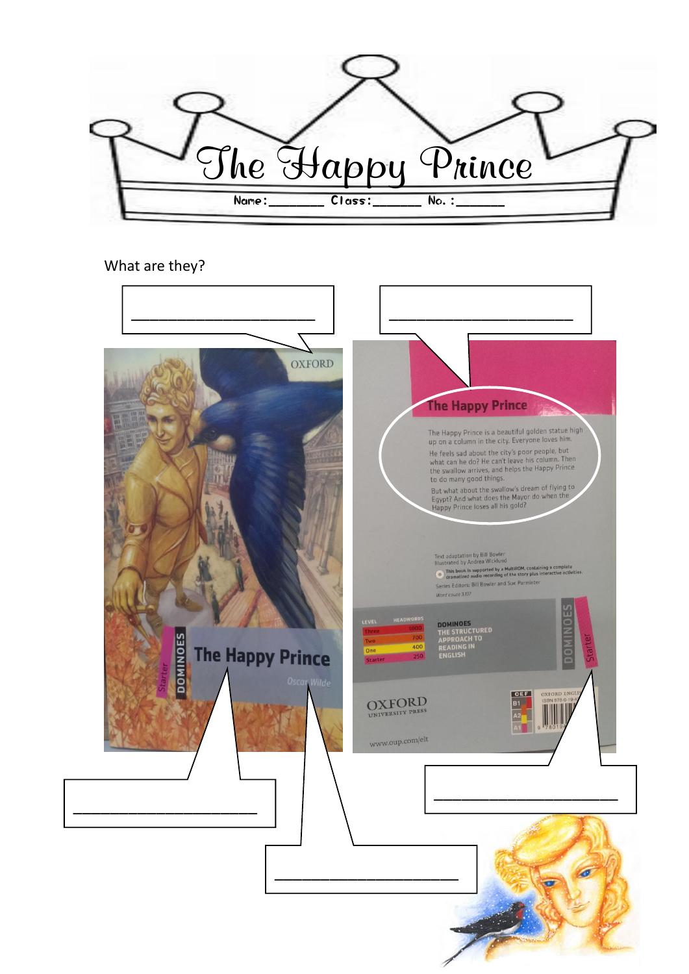

#### What are they?

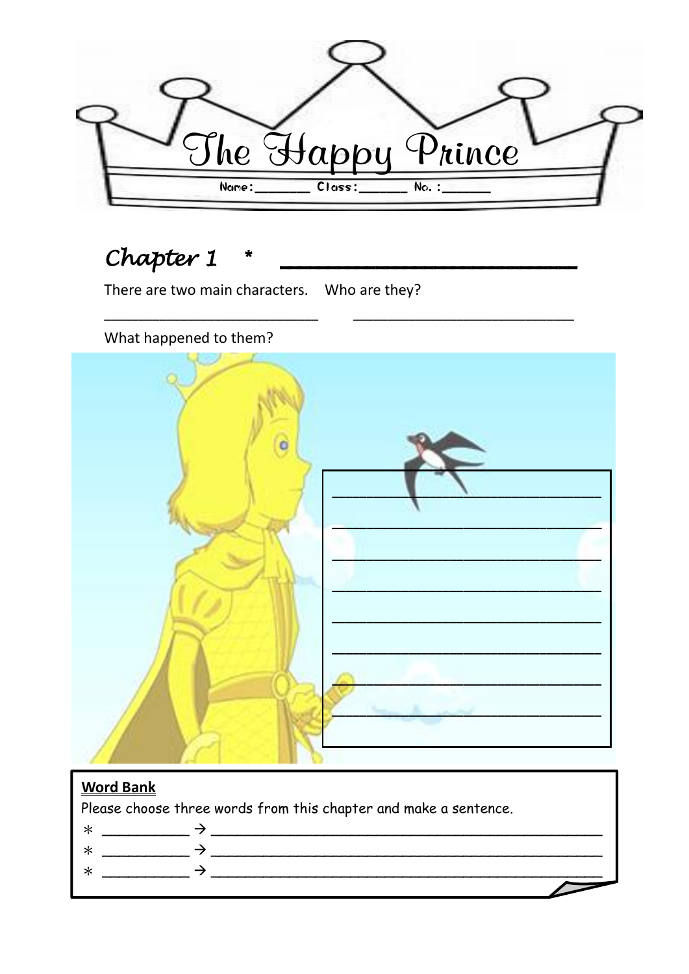

## Chapter 1

There are two main characters. Who are they?

## What happened to them?



## **Word Bank**

Please choose three words from this chapter and make a sentence.

- 
- $\ast$
- $\ast$ 
	-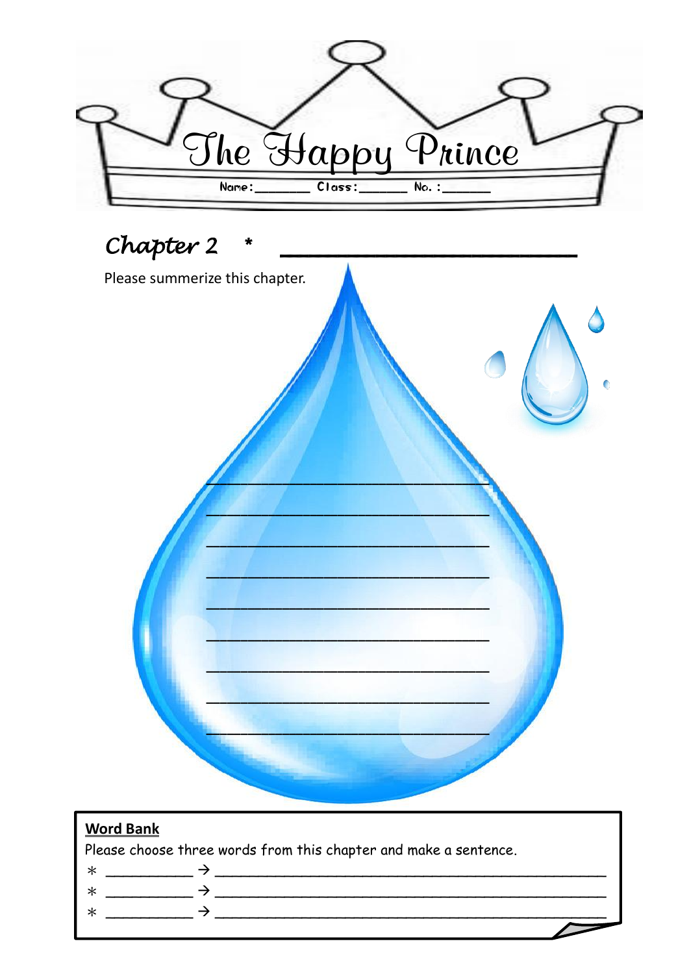



## **Word Bank**

Please choose three words from this chapter and make a sentence.

 $\ast$ 

 $\rightarrow$  $\ast$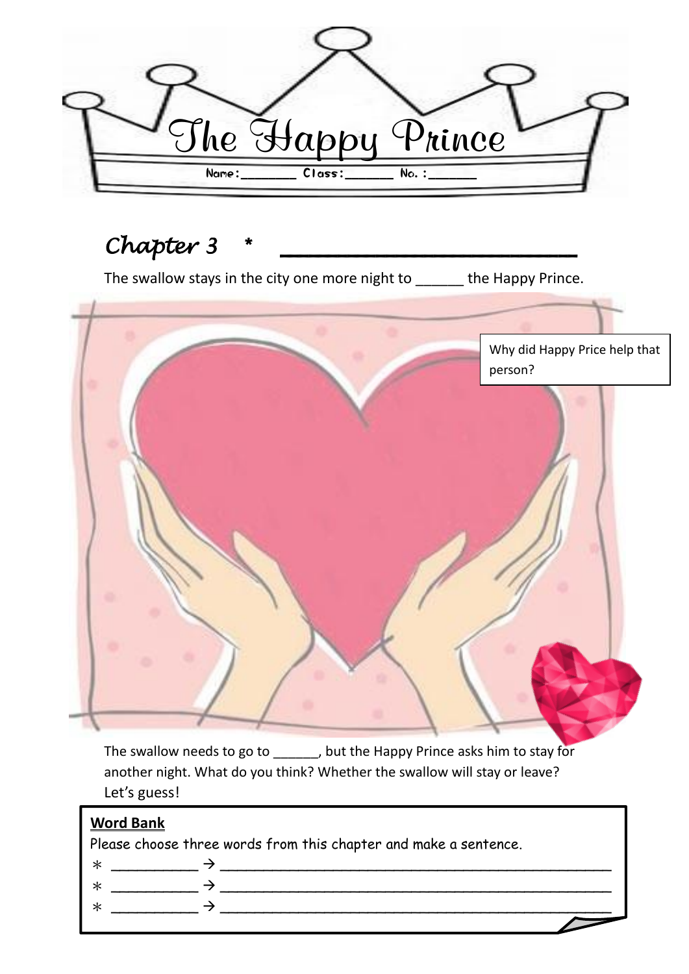

# $Chapter 3$

The swallow stays in the city one more night to \_\_\_\_\_\_ the Happy Prince.



The swallow needs to go to \_\_\_\_\_\_, but the Happy Prince asks him to stay for another night. What do you think? Whether the swallow will stay or leave? Let's guess!

| <b>Word Bank</b>                                                 |  |  |
|------------------------------------------------------------------|--|--|
| Please choose three words from this chapter and make a sentence. |  |  |
|                                                                  |  |  |
|                                                                  |  |  |
|                                                                  |  |  |
|                                                                  |  |  |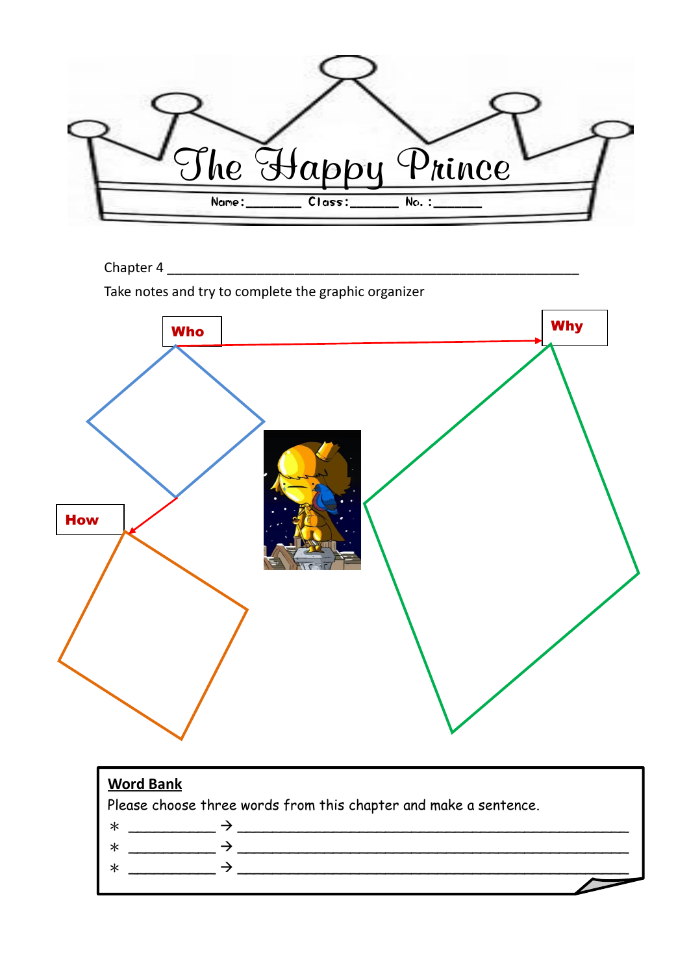

Chapter 4

Take notes and try to complete the graphic organizer



| <b>Word Bank</b><br>Please choose three words from this chapter and make a sentence. |  |
|--------------------------------------------------------------------------------------|--|
|                                                                                      |  |
| —                                                                                    |  |
|                                                                                      |  |
|                                                                                      |  |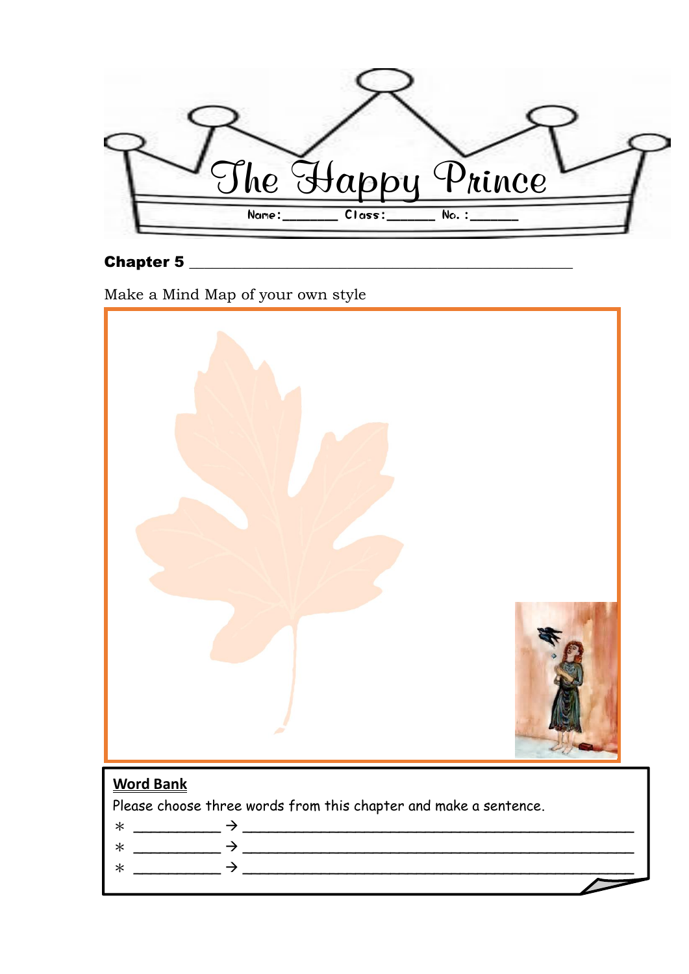The Happy Prince Name:\_\_\_\_\_\_\_\_ Class:\_\_\_\_\_\_\_ No.:\_\_\_\_\_\_\_

#### Chapter 5 \_\_\_\_\_\_\_\_\_\_\_\_\_\_\_\_\_\_\_\_\_\_\_\_\_\_\_\_\_\_\_\_\_\_\_\_\_\_\_\_\_\_\_\_\_\_\_\_\_\_\_

Make a Mind Map of your own style



in the cold months of the year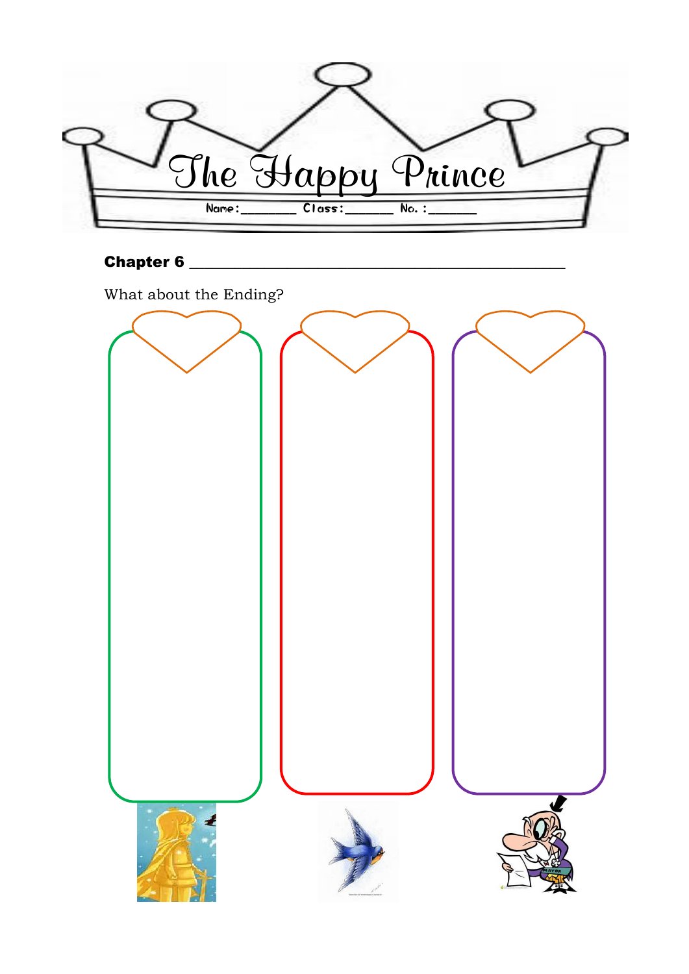

## Chapter 6 \_\_\_\_\_\_\_\_\_\_\_\_\_\_\_\_\_\_\_\_\_\_\_\_\_\_\_\_\_\_\_\_\_\_\_\_\_\_\_\_\_\_\_\_\_\_\_\_\_\_

What about the Ending?